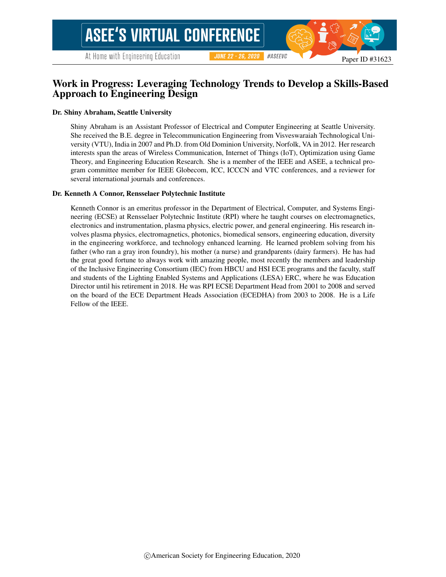# Work in Progress: Leveraging Technology Trends to Develop a Skills-Based Approach to Engineering Design

#### Dr. Shiny Abraham, Seattle University

Shiny Abraham is an Assistant Professor of Electrical and Computer Engineering at Seattle University. She received the B.E. degree in Telecommunication Engineering from Visveswaraiah Technological University (VTU), India in 2007 and Ph.D. from Old Dominion University, Norfolk, VA in 2012. Her research interests span the areas of Wireless Communication, Internet of Things (IoT), Optimization using Game Theory, and Engineering Education Research. She is a member of the IEEE and ASEE, a technical program committee member for IEEE Globecom, ICC, ICCCN and VTC conferences, and a reviewer for several international journals and conferences.

#### Dr. Kenneth A Connor, Rensselaer Polytechnic Institute

Kenneth Connor is an emeritus professor in the Department of Electrical, Computer, and Systems Engineering (ECSE) at Rensselaer Polytechnic Institute (RPI) where he taught courses on electromagnetics, electronics and instrumentation, plasma physics, electric power, and general engineering. His research involves plasma physics, electromagnetics, photonics, biomedical sensors, engineering education, diversity in the engineering workforce, and technology enhanced learning. He learned problem solving from his father (who ran a gray iron foundry), his mother (a nurse) and grandparents (dairy farmers). He has had the great good fortune to always work with amazing people, most recently the members and leadership of the Inclusive Engineering Consortium (IEC) from HBCU and HSI ECE programs and the faculty, staff and students of the Lighting Enabled Systems and Applications (LESA) ERC, where he was Education Director until his retirement in 2018. He was RPI ECSE Department Head from 2001 to 2008 and served on the board of the ECE Department Heads Association (ECEDHA) from 2003 to 2008. He is a Life Fellow of the IEEE.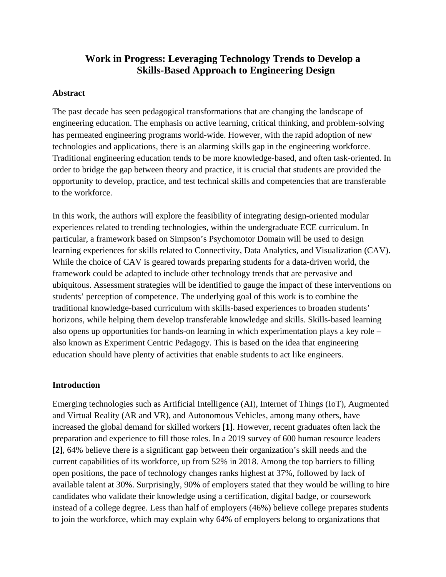# **Work in Progress: Leveraging Technology Trends to Develop a Skills-Based Approach to Engineering Design**

## **Abstract**

The past decade has seen pedagogical transformations that are changing the landscape of engineering education. The emphasis on active learning, critical thinking, and problem-solving has permeated engineering programs world-wide. However, with the rapid adoption of new technologies and applications, there is an alarming skills gap in the engineering workforce. Traditional engineering education tends to be more knowledge-based, and often task-oriented. In order to bridge the gap between theory and practice, it is crucial that students are provided the opportunity to develop, practice, and test technical skills and competencies that are transferable to the workforce.

In this work, the authors will explore the feasibility of integrating design-oriented modular experiences related to trending technologies, within the undergraduate ECE curriculum. In particular, a framework based on Simpson's Psychomotor Domain will be used to design learning experiences for skills related to Connectivity, Data Analytics, and Visualization (CAV). While the choice of CAV is geared towards preparing students for a data-driven world, the framework could be adapted to include other technology trends that are pervasive and ubiquitous. Assessment strategies will be identified to gauge the impact of these interventions on students' perception of competence. The underlying goal of this work is to combine the traditional knowledge-based curriculum with skills-based experiences to broaden students' horizons, while helping them develop transferable knowledge and skills. Skills-based learning also opens up opportunities for hands-on learning in which experimentation plays a key role – also known as Experiment Centric Pedagogy. This is based on the idea that engineering education should have plenty of activities that enable students to act like engineers.

# **Introduction**

Emerging technologies such as Artificial Intelligence (AI), Internet of Things (IoT), Augmented and Virtual Reality (AR and VR), and Autonomous Vehicles, among many others, have increased the global demand for skilled workers **[1]**. However, recent graduates often lack the preparation and experience to fill those roles. In a 2019 survey of 600 human resource leaders **[2]**, 64% believe there is a significant gap between their organization's skill needs and the current capabilities of its workforce, up from 52% in 2018. Among the top barriers to filling open positions, the pace of technology changes ranks highest at 37%, followed by lack of available talent at 30%. Surprisingly, 90% of employers stated that they would be willing to hire candidates who validate their knowledge using a certification, digital badge, or coursework instead of a college degree. Less than half of employers (46%) believe college prepares students to join the workforce, which may explain why 64% of employers belong to organizations that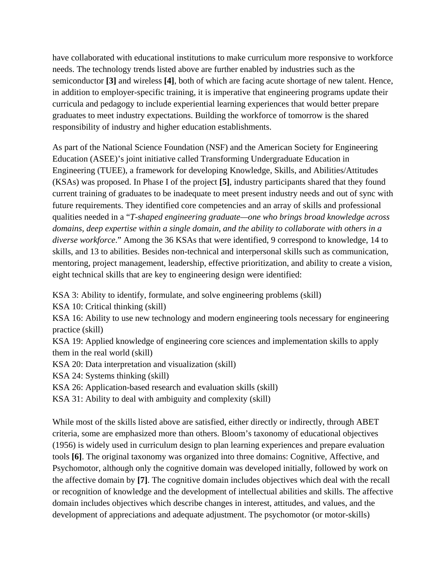have collaborated with educational institutions to make curriculum more responsive to workforce needs. The technology trends listed above are further enabled by industries such as the semiconductor **[3]** and wireless **[4]**, both of which are facing acute shortage of new talent. Hence, in addition to employer-specific training, it is imperative that engineering programs update their curricula and pedagogy to include experiential learning experiences that would better prepare graduates to meet industry expectations. Building the workforce of tomorrow is the shared responsibility of industry and higher education establishments.

As part of the National Science Foundation (NSF) and the American Society for Engineering Education (ASEE)'s joint initiative called Transforming Undergraduate Education in Engineering (TUEE), a framework for developing Knowledge, Skills, and Abilities/Attitudes (KSAs) was proposed. In Phase I of the project **[5]**, industry participants shared that they found current training of graduates to be inadequate to meet present industry needs and out of sync with future requirements. They identified core competencies and an array of skills and professional qualities needed in a "*T-shaped engineering graduate—one who brings broad knowledge across domains, deep expertise within a single domain, and the ability to collaborate with others in a diverse workforce*." Among the 36 KSAs that were identified, 9 correspond to knowledge, 14 to skills, and 13 to abilities. Besides non-technical and interpersonal skills such as communication, mentoring, project management, leadership, effective prioritization, and ability to create a vision, eight technical skills that are key to engineering design were identified:

KSA 3: Ability to identify, formulate, and solve engineering problems (skill)

KSA 10: Critical thinking (skill)

KSA 16: Ability to use new technology and modern engineering tools necessary for engineering practice (skill)

KSA 19: Applied knowledge of engineering core sciences and implementation skills to apply them in the real world (skill)

KSA 20: Data interpretation and visualization (skill)

KSA 24: Systems thinking (skill)

KSA 26: Application-based research and evaluation skills (skill)

KSA 31: Ability to deal with ambiguity and complexity (skill)

While most of the skills listed above are satisfied, either directly or indirectly, through ABET criteria, some are emphasized more than others. Bloom's taxonomy of educational objectives (1956) is widely used in curriculum design to plan learning experiences and prepare evaluation tools **[6]**. The original taxonomy was organized into three domains: Cognitive, Affective, and Psychomotor, although only the cognitive domain was developed initially, followed by work on the affective domain by **[7]**. The cognitive domain includes objectives which deal with the recall or recognition of knowledge and the development of intellectual abilities and skills. The affective domain includes objectives which describe changes in interest, attitudes, and values, and the development of appreciations and adequate adjustment. The psychomotor (or motor-skills)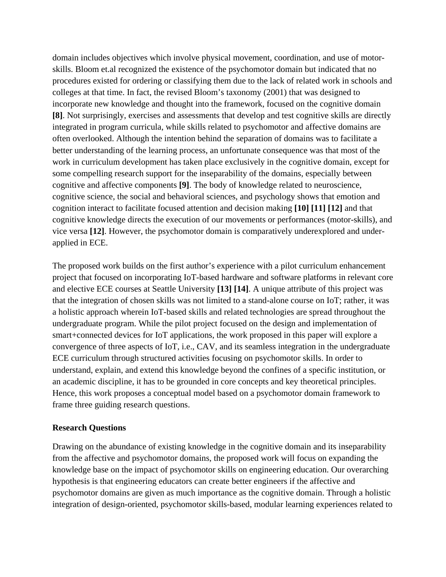domain includes objectives which involve physical movement, coordination, and use of motorskills. Bloom et.al recognized the existence of the psychomotor domain but indicated that no procedures existed for ordering or classifying them due to the lack of related work in schools and colleges at that time. In fact, the revised Bloom's taxonomy (2001) that was designed to incorporate new knowledge and thought into the framework, focused on the cognitive domain **[8]**. Not surprisingly, exercises and assessments that develop and test cognitive skills are directly integrated in program curricula, while skills related to psychomotor and affective domains are often overlooked. Although the intention behind the separation of domains was to facilitate a better understanding of the learning process, an unfortunate consequence was that most of the work in curriculum development has taken place exclusively in the cognitive domain, except for some compelling research support for the inseparability of the domains, especially between cognitive and affective components **[9]**. The body of knowledge related to neuroscience, cognitive science, the social and behavioral sciences, and psychology shows that emotion and cognition interact to facilitate focused attention and decision making **[10] [11] [12]** and that cognitive knowledge directs the execution of our movements or performances (motor-skills), and vice versa **[12]**. However, the psychomotor domain is comparatively underexplored and underapplied in ECE.

The proposed work builds on the first author's experience with a pilot curriculum enhancement project that focused on incorporating IoT-based hardware and software platforms in relevant core and elective ECE courses at Seattle University **[13] [14]**. A unique attribute of this project was that the integration of chosen skills was not limited to a stand-alone course on IoT; rather, it was a holistic approach wherein IoT-based skills and related technologies are spread throughout the undergraduate program. While the pilot project focused on the design and implementation of smart+connected devices for IoT applications, the work proposed in this paper will explore a convergence of three aspects of IoT, i.e., CAV, and its seamless integration in the undergraduate ECE curriculum through structured activities focusing on psychomotor skills. In order to understand, explain, and extend this knowledge beyond the confines of a specific institution, or an academic discipline, it has to be grounded in core concepts and key theoretical principles. Hence, this work proposes a conceptual model based on a psychomotor domain framework to frame three guiding research questions.

### **Research Questions**

Drawing on the abundance of existing knowledge in the cognitive domain and its inseparability from the affective and psychomotor domains, the proposed work will focus on expanding the knowledge base on the impact of psychomotor skills on engineering education. Our overarching hypothesis is that engineering educators can create better engineers if the affective and psychomotor domains are given as much importance as the cognitive domain. Through a holistic integration of design-oriented, psychomotor skills-based, modular learning experiences related to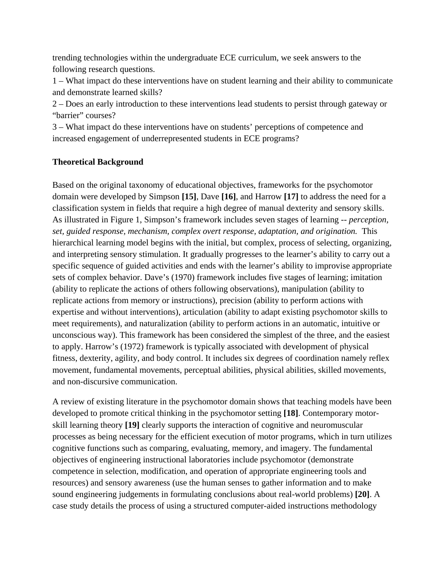trending technologies within the undergraduate ECE curriculum, we seek answers to the following research questions.

1 – What impact do these interventions have on student learning and their ability to communicate and demonstrate learned skills?

2 – Does an early introduction to these interventions lead students to persist through gateway or "barrier" courses?

3 – What impact do these interventions have on students' perceptions of competence and increased engagement of underrepresented students in ECE programs?

# **Theoretical Background**

Based on the original taxonomy of educational objectives, frameworks for the psychomotor domain were developed by Simpson **[15]**, Dave **[16]**, and Harrow **[17]** to address the need for a classification system in fields that require a high degree of manual dexterity and sensory skills. As illustrated in Figure 1, Simpson's framework includes seven stages of learning -- *perception, set, guided response, mechanism, complex overt response, adaptation, and origination.* This hierarchical learning model begins with the initial, but complex, process of selecting, organizing, and interpreting sensory stimulation. It gradually progresses to the learner's ability to carry out a specific sequence of guided activities and ends with the learner's ability to improvise appropriate sets of complex behavior. Dave's (1970) framework includes five stages of learning; imitation (ability to replicate the actions of others following observations), manipulation (ability to replicate actions from memory or instructions), precision (ability to perform actions with expertise and without interventions), articulation (ability to adapt existing psychomotor skills to meet requirements), and naturalization (ability to perform actions in an automatic, intuitive or unconscious way). This framework has been considered the simplest of the three, and the easiest to apply. Harrow's (1972) framework is typically associated with development of physical fitness, dexterity, agility, and body control. It includes six degrees of coordination namely reflex movement, fundamental movements, perceptual abilities, physical abilities, skilled movements, and non-discursive communication.

A review of existing literature in the psychomotor domain shows that teaching models have been developed to promote critical thinking in the psychomotor setting **[18]**. Contemporary motorskill learning theory **[19]** clearly supports the interaction of cognitive and neuromuscular processes as being necessary for the efficient execution of motor programs, which in turn utilizes cognitive functions such as comparing, evaluating, memory, and imagery. The fundamental objectives of engineering instructional laboratories include psychomotor (demonstrate competence in selection, modification, and operation of appropriate engineering tools and resources) and sensory awareness (use the human senses to gather information and to make sound engineering judgements in formulating conclusions about real-world problems) **[20]**. A case study details the process of using a structured computer-aided instructions methodology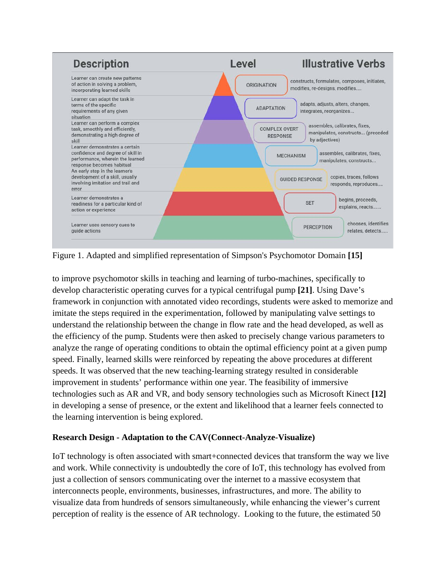

Figure 1. Adapted and simplified representation of Simpson's Psychomotor Domain **[15]**

to improve psychomotor skills in teaching and learning of turbo-machines, specifically to develop characteristic operating curves for a typical centrifugal pump **[21]**. Using Dave's framework in conjunction with annotated video recordings, students were asked to memorize and imitate the steps required in the experimentation, followed by manipulating valve settings to understand the relationship between the change in flow rate and the head developed, as well as the efficiency of the pump. Students were then asked to precisely change various parameters to analyze the range of operating conditions to obtain the optimal efficiency point at a given pump speed. Finally, learned skills were reinforced by repeating the above procedures at different speeds. It was observed that the new teaching-learning strategy resulted in considerable improvement in students' performance within one year. The feasibility of immersive technologies such as AR and VR, and body sensory technologies such as Microsoft Kinect **[12]** in developing a sense of presence, or the extent and likelihood that a learner feels connected to the learning intervention is being explored.

# **Research Design - Adaptation to the CAV(Connect-Analyze-Visualize)**

IoT technology is often associated with smart+connected devices that transform the way we live and work. While connectivity is undoubtedly the core of IoT, this technology has evolved from just a collection of sensors communicating over the internet to a massive ecosystem that interconnects people, environments, businesses, infrastructures, and more. The ability to visualize data from hundreds of sensors simultaneously, while enhancing the viewer's current perception of reality is the essence of AR technology. Looking to the future, the estimated 50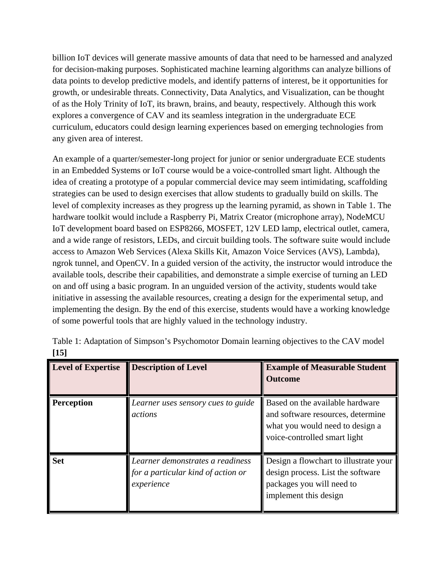billion IoT devices will generate massive amounts of data that need to be harnessed and analyzed for decision-making purposes. Sophisticated machine learning algorithms can analyze billions of data points to develop predictive models, and identify patterns of interest, be it opportunities for growth, or undesirable threats. Connectivity, Data Analytics, and Visualization, can be thought of as the Holy Trinity of IoT, its brawn, brains, and beauty, respectively. Although this work explores a convergence of CAV and its seamless integration in the undergraduate ECE curriculum, educators could design learning experiences based on emerging technologies from any given area of interest.

An example of a quarter/semester-long project for junior or senior undergraduate ECE students in an Embedded Systems or IoT course would be a voice-controlled smart light. Although the idea of creating a prototype of a popular commercial device may seem intimidating, scaffolding strategies can be used to design exercises that allow students to gradually build on skills. The level of complexity increases as they progress up the learning pyramid, as shown in Table 1. The hardware toolkit would include a Raspberry Pi, Matrix Creator (microphone array), NodeMCU IoT development board based on ESP8266, MOSFET, 12V LED lamp, electrical outlet, camera, and a wide range of resistors, LEDs, and circuit building tools. The software suite would include access to Amazon Web Services (Alexa Skills Kit, Amazon Voice Services (AVS), Lambda), ngrok tunnel, and OpenCV. In a guided version of the activity, the instructor would introduce the available tools, describe their capabilities, and demonstrate a simple exercise of turning an LED on and off using a basic program. In an unguided version of the activity, students would take initiative in assessing the available resources, creating a design for the experimental setup, and implementing the design. By the end of this exercise, students would have a working knowledge of some powerful tools that are highly valued in the technology industry.

| <b>Level of Expertise</b> | <b>Description of Level</b>                                                          | <b>Example of Measurable Student</b><br><b>Outcome</b>                                                                                  |
|---------------------------|--------------------------------------------------------------------------------------|-----------------------------------------------------------------------------------------------------------------------------------------|
| <b>Perception</b>         | Learner uses sensory cues to guide<br>actions                                        | Based on the available hardware<br>and software resources, determine<br>what you would need to design a<br>voice-controlled smart light |
| <b>Set</b>                | Learner demonstrates a readiness<br>for a particular kind of action or<br>experience | Design a flowchart to illustrate your<br>design process. List the software<br>packages you will need to<br>implement this design        |

| Table 1: Adaptation of Simpson's Psychomotor Domain learning objectives to the CAV model |  |
|------------------------------------------------------------------------------------------|--|
| [15]                                                                                     |  |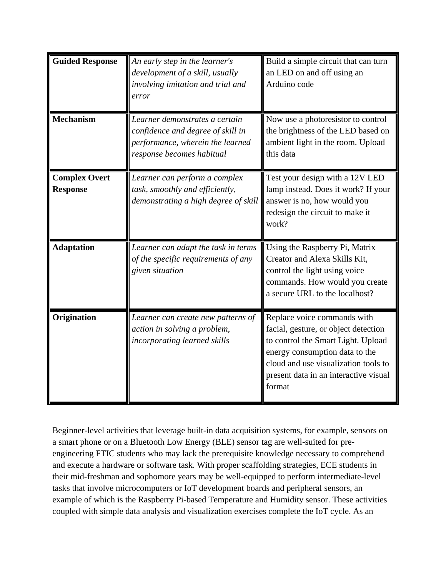| <b>Guided Response</b>                  | An early step in the learner's<br>development of a skill, usually<br>involving imitation and trial and<br>error                      | Build a simple circuit that can turn<br>an LED on and off using an<br>Arduino code                                                                                                                                                     |
|-----------------------------------------|--------------------------------------------------------------------------------------------------------------------------------------|----------------------------------------------------------------------------------------------------------------------------------------------------------------------------------------------------------------------------------------|
| <b>Mechanism</b>                        | Learner demonstrates a certain<br>confidence and degree of skill in<br>performance, wherein the learned<br>response becomes habitual | Now use a photoresistor to control<br>the brightness of the LED based on<br>ambient light in the room. Upload<br>this data                                                                                                             |
| <b>Complex Overt</b><br><b>Response</b> | Learner can perform a complex<br>task, smoothly and efficiently,<br>demonstrating a high degree of skill                             | Test your design with a 12V LED<br>lamp instead. Does it work? If your<br>answer is no, how would you<br>redesign the circuit to make it<br>work?                                                                                      |
| <b>Adaptation</b>                       | Learner can adapt the task in terms<br>of the specific requirements of any<br>given situation                                        | Using the Raspberry Pi, Matrix<br>Creator and Alexa Skills Kit,<br>control the light using voice<br>commands. How would you create<br>a secure URL to the localhost?                                                                   |
| Origination                             | Learner can create new patterns of<br>action in solving a problem,<br>incorporating learned skills                                   | Replace voice commands with<br>facial, gesture, or object detection<br>to control the Smart Light. Upload<br>energy consumption data to the<br>cloud and use visualization tools to<br>present data in an interactive visual<br>format |

Beginner-level activities that leverage built-in data acquisition systems, for example, sensors on a smart phone or on a Bluetooth Low Energy (BLE) sensor tag are well-suited for preengineering FTIC students who may lack the prerequisite knowledge necessary to comprehend and execute a hardware or software task. With proper scaffolding strategies, ECE students in their mid-freshman and sophomore years may be well-equipped to perform intermediate-level tasks that involve microcomputers or IoT development boards and peripheral sensors, an example of which is the Raspberry Pi-based Temperature and Humidity sensor. These activities coupled with simple data analysis and visualization exercises complete the IoT cycle. As an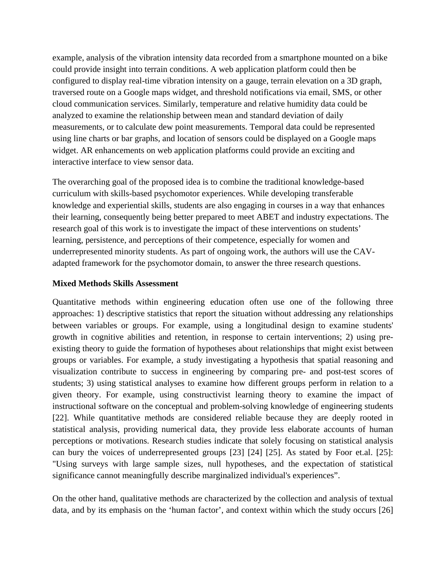example, analysis of the vibration intensity data recorded from a smartphone mounted on a bike could provide insight into terrain conditions. A web application platform could then be configured to display real-time vibration intensity on a gauge, terrain elevation on a 3D graph, traversed route on a Google maps widget, and threshold notifications via email, SMS, or other cloud communication services. Similarly, temperature and relative humidity data could be analyzed to examine the relationship between mean and standard deviation of daily measurements, or to calculate dew point measurements. Temporal data could be represented using line charts or bar graphs, and location of sensors could be displayed on a Google maps widget. AR enhancements on web application platforms could provide an exciting and interactive interface to view sensor data.

The overarching goal of the proposed idea is to combine the traditional knowledge-based curriculum with skills-based psychomotor experiences. While developing transferable knowledge and experiential skills, students are also engaging in courses in a way that enhances their learning, consequently being better prepared to meet ABET and industry expectations. The research goal of this work is to investigate the impact of these interventions on students' learning, persistence, and perceptions of their competence, especially for women and underrepresented minority students. As part of ongoing work, the authors will use the CAVadapted framework for the psychomotor domain, to answer the three research questions.

### **Mixed Methods Skills Assessment**

Quantitative methods within engineering education often use one of the following three approaches: 1) descriptive statistics that report the situation without addressing any relationships between variables or groups. For example, using a longitudinal design to examine students' growth in cognitive abilities and retention, in response to certain interventions; 2) using preexisting theory to guide the formation of hypotheses about relationships that might exist between groups or variables. For example, a study investigating a hypothesis that spatial reasoning and visualization contribute to success in engineering by comparing pre- and post-test scores of students; 3) using statistical analyses to examine how different groups perform in relation to a given theory. For example, using constructivist learning theory to examine the impact of instructional software on the conceptual and problem-solving knowledge of engineering students [22]. While quantitative methods are considered reliable because they are deeply rooted in statistical analysis, providing numerical data, they provide less elaborate accounts of human perceptions or motivations. Research studies indicate that solely focusing on statistical analysis can bury the voices of underrepresented groups [23] [24] [25]. As stated by Foor et.al. [25]: "Using surveys with large sample sizes, null hypotheses, and the expectation of statistical significance cannot meaningfully describe marginalized individual's experiences".

On the other hand, qualitative methods are characterized by the collection and analysis of textual data, and by its emphasis on the 'human factor', and context within which the study occurs [26]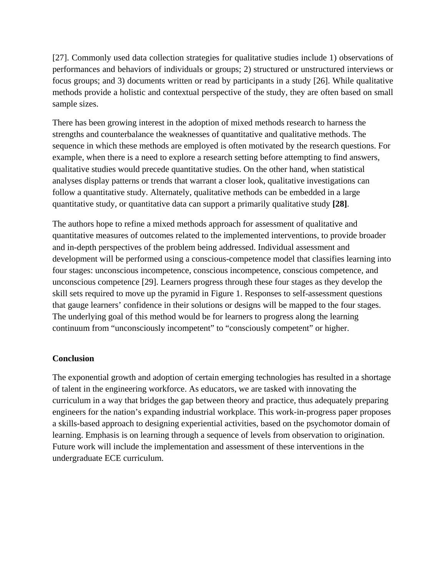[27]. Commonly used data collection strategies for qualitative studies include 1) observations of performances and behaviors of individuals or groups; 2) structured or unstructured interviews or focus groups; and 3) documents written or read by participants in a study [26]. While qualitative methods provide a holistic and contextual perspective of the study, they are often based on small sample sizes.

There has been growing interest in the adoption of mixed methods research to harness the strengths and counterbalance the weaknesses of quantitative and qualitative methods. The sequence in which these methods are employed is often motivated by the research questions. For example, when there is a need to explore a research setting before attempting to find answers, qualitative studies would precede quantitative studies. On the other hand, when statistical analyses display patterns or trends that warrant a closer look, qualitative investigations can follow a quantitative study. Alternately, qualitative methods can be embedded in a large quantitative study, or quantitative data can support a primarily qualitative study **[28]**.

The authors hope to refine a mixed methods approach for assessment of qualitative and quantitative measures of outcomes related to the implemented interventions, to provide broader and in-depth perspectives of the problem being addressed. Individual assessment and development will be performed using a conscious-competence model that classifies learning into four stages: unconscious incompetence, conscious incompetence, conscious competence, and unconscious competence [29]. Learners progress through these four stages as they develop the skill sets required to move up the pyramid in Figure 1. Responses to self-assessment questions that gauge learners' confidence in their solutions or designs will be mapped to the four stages. The underlying goal of this method would be for learners to progress along the learning continuum from "unconsciously incompetent" to "consciously competent" or higher.

### **Conclusion**

The exponential growth and adoption of certain emerging technologies has resulted in a shortage of talent in the engineering workforce. As educators, we are tasked with innovating the curriculum in a way that bridges the gap between theory and practice, thus adequately preparing engineers for the nation's expanding industrial workplace. This work-in-progress paper proposes a skills-based approach to designing experiential activities, based on the psychomotor domain of learning. Emphasis is on learning through a sequence of levels from observation to origination. Future work will include the implementation and assessment of these interventions in the undergraduate ECE curriculum.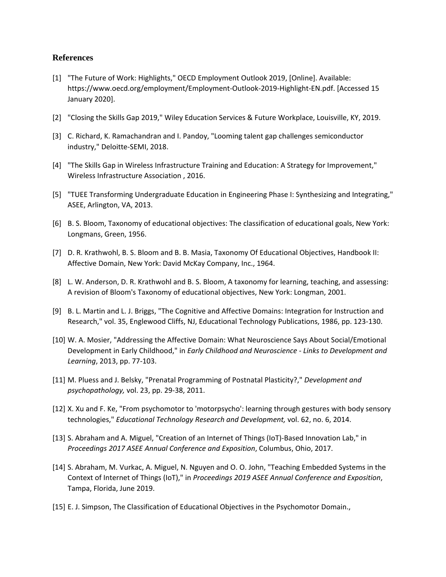#### **References**

- [1] "The Future of Work: Highlights," OECD Employment Outlook 2019, [Online]. Available: https://www.oecd.org/employment/Employment-Outlook-2019-Highlight-EN.pdf. [Accessed 15 January 2020].
- [2] "Closing the Skills Gap 2019," Wiley Education Services & Future Workplace, Louisville, KY, 2019.
- [3] C. Richard, K. Ramachandran and I. Pandoy, "Looming talent gap challenges semiconductor industry," Deloitte-SEMI, 2018.
- [4] "The Skills Gap in Wireless Infrastructure Training and Education: A Strategy for Improvement," Wireless Infrastructure Association , 2016.
- [5] "TUEE Transforming Undergraduate Education in Engineering Phase I: Synthesizing and Integrating," ASEE, Arlington, VA, 2013.
- [6] B. S. Bloom, Taxonomy of educational objectives: The classification of educational goals, New York: Longmans, Green, 1956.
- [7] D. R. Krathwohl, B. S. Bloom and B. B. Masia, Taxonomy Of Educational Objectives, Handbook II: Affective Domain, New York: David McKay Company, Inc., 1964.
- [8] L. W. Anderson, D. R. Krathwohl and B. S. Bloom, A taxonomy for learning, teaching, and assessing: A revision of Bloom's Taxonomy of educational objectives, New York: Longman, 2001.
- [9] B. L. Martin and L. J. Briggs, "The Cognitive and Affective Domains: Integration for Instruction and Research," vol. 35, Englewood Cliffs, NJ, Educational Technology Publications, 1986, pp. 123-130.
- [10] W. A. Mosier, "Addressing the Affective Domain: What Neuroscience Says About Social/Emotional Development in Early Childhood," in *Early Childhood and Neuroscience - Links to Development and Learning*, 2013, pp. 77-103.
- [11] M. Pluess and J. Belsky, "Prenatal Programming of Postnatal Plasticity?," *Development and psychopathology,* vol. 23, pp. 29-38, 2011.
- [12] X. Xu and F. Ke, "From psychomotor to 'motorpsycho': learning through gestures with body sensory technologies," *Educational Technology Research and Development,* vol. 62, no. 6, 2014.
- [13] S. Abraham and A. Miguel, "Creation of an Internet of Things (IoT)-Based Innovation Lab," in *Proceedings 2017 ASEE Annual Conference and Exposition*, Columbus, Ohio, 2017.
- [14] S. Abraham, M. Vurkac, A. Miguel, N. Nguyen and O. O. John, "Teaching Embedded Systems in the Context of Internet of Things (IoT)," in *Proceedings 2019 ASEE Annual Conference and Exposition*, Tampa, Florida, June 2019.
- [15] E. J. Simpson, The Classification of Educational Objectives in the Psychomotor Domain.,